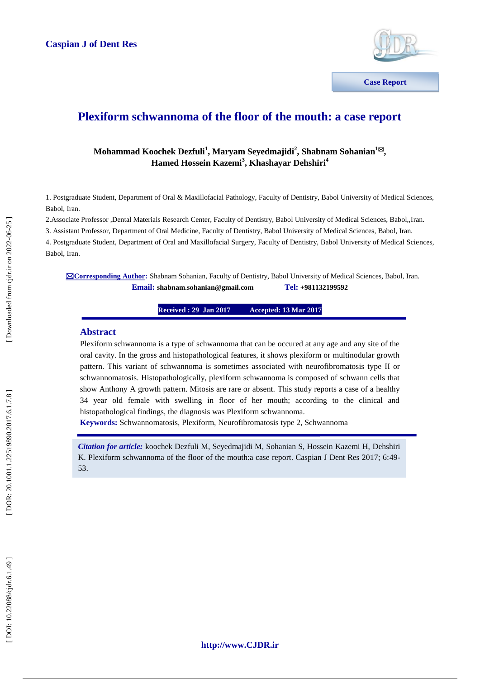

**Communications**

# **Plexiform schwannoma of the floor of the mouth: a case report**

# $\bf{M}$ ohammad Koochek Dezfuli<sup>1</sup>, Maryam Seyedmajidi<sup>2</sup>, Shabnam Sohanian<sup>1⊠</sup>, **Hamed Hossein Kazemi 3 , Khashayar Dehshiri 4**

1. Postgraduate Student, Department of Oral & Maxillofacial Pathology, Faculty of Dentistry, Babol University of Medical Sciences, Babol, Iran.

2.Associate Professor ,Dental Materials Research Center, Faculty of Dentistry, Babol University of Medical Sciences, Babol,,Iran.

3. Assistant Professor, Department of Oral Medicine, Faculty of Dentistry, Babol University of Medical Sciences, Babol, Iran.

4. Postgraduate Student, Department of Oral and Maxillofacial Surgery, Faculty of Dentistry, Babol University of Medical Sciences, Babol, Iran.

**Corresponding Author :** Shabnam Sohanian, Faculty of Dentistry, Babol University of Medical Sciences, Babol, Iran.  $\n **Email:** shabnam.sohanian@gmail.com\n$ **+981132199592**

> **Received : 29 Jan 201 7 Accepted: 13 Mar 2017**

## **Abstract**

Plexiform schwannoma is a type of schwannoma that can be occured at any age and any site of the oral cavity. In the gross and histopathological features, it shows plexiform or multinodular growth pattern. This variant of schwannoma is sometimes associated with neurofibromatosis type II or schwannomatosis. Histopathologically, plexiform schwannoma is composed of schwann cells that show Anthony A growth pattern. Mitosis are rare or absent. This study reports a case of a healthy 34 year old female with swelling in floor of her mouth; according to the clinical and histopathological findings, the diagnosis was Plexiform schwannoma.

**Keywords:** Schwannomatosis, Plexiform, Neur[ofibromatosis](http://forum.iransalamat.com/%D8%B3%D8%B1%D8%B7%D8%A7%D9%86%D9%87%D8%A7%DB%8C-%D8%AF%D8%B3%D8%AA%DA%AF%D8%A7%D9%87-%D9%85%D8%BA%D8%B2-%D9%88-%D8%A7%D8%B9%D8%B5%D8%A7%D8%A8-1295/%D8%AA%D9%88%D9%85%D9%88%D8%B1-%D9%87%D8%A7%DB%8C-%D9%85%D8%BA%D8%B2-%D9%88-%D8%A7%D8%B9%D8%B5%D8%A7%D8%A8-%D9%86%D9%88%D8%B1%D9%88-%D9%81%DB%8C%D8%B1%D9%88%D9%85-neurofibromatosis-10972/) type 2, Schwannoma

*Citation for article:* koochek Dezfuli M, Seyedmajidi M, Sohanian S, Hossein Kazemi H, Dehshiri K. Plexiform schwannoma of the floor of the mouth:a case report. Caspian J Dent Res 2017; 6:49 - 53.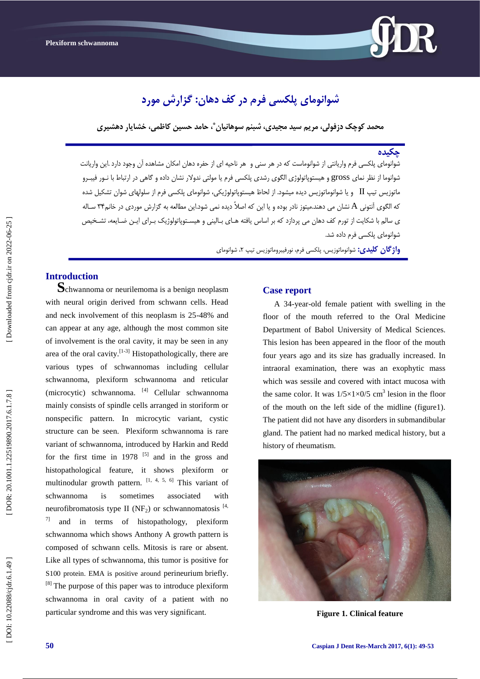

# **شَاًَهای پلکسی فرم در کف دهاى: گسارش هَرد**

**هحود کَچک دزفَلی، هرین سید هجیدی، شبٌن سَهاًیاى ، حاهد حسیي کاظوی، خشایار دهشیری \***

#### **چکیدُ**

شوانومای پلکسی فرم واریانتی از شوانوماست که در هر سنی و هر ناحیه ای از حفره دهان امکان مشاهده ان وجود دارد .این واریانت شوانوما از نظر نمای gross و هیستوپاتولوژی الگوی رشدی پلکسی فرم یا مولتی ندولار نشان داده و گاهی در ارتباط با نـور فیبـرو ماتوزیس تیپ  $\rm{II}$  و یا شوانوماتوزیس دیده میشود. از لحاظ هیستوپاتولوژیکی، شوانومای پلکسی فرم از سلولهای شوان تشکیل شده که الگوی آنتونی A نشان می دهند.میتوز نادر بوده و یا این که اصلاً دیده نمی شود.این مطالعه به گزارش موردی در خانم۳۴ سـاله ی سالم با شکایت از تورم کف دهان می پردازد که بر اساس یافته هـای بـالینی و هیسـتوپاتولوژیک بـرای ایـن ضـایعه، تشـخیص شوانومای پلکسی فرم داده شد.

> **واژگان گلیدی:** شوانوماتوزیس، پلکسی فرم، نورفیبروماتوزیس تیپ ۲، شوانومای ،

**Introduction**<br>**S**chwannoma or neurilemoma is a benign neoplasm with neural origin derived from schwann cells. Head and neck involvement of this neoplasm is 25 -48% and can appear at any age, although the most common site of involvement is the oral cavity, it may be seen in any area of the oral cavity.  $[1-3]$  Histopathologically, there are various types of schwannomas including cellular schwannoma, plexiform schwannoma and reticular (microcytic) schwannoma. [4] Cellular schwannoma mainly consists of spindle cells arranged in storiform or nonspecific pattern. In microcytic variant, cystic structure can be seen. Plexiform schwannoma is rare variant of schwannoma, introduced by Harkin and Redd for the first time in  $1978$  <sup>[5]</sup> and in the gross and histopathological feature, it shows plexiform or multinodular growth pattern.  $[1, 4, 5, 6]$  This variant of schwannoma is sometimes associated with neur[ofibromatosis](http://forum.iransalamat.com/%D8%B3%D8%B1%D8%B7%D8%A7%D9%86%D9%87%D8%A7%DB%8C-%D8%AF%D8%B3%D8%AA%DA%AF%D8%A7%D9%87-%D9%85%D8%BA%D8%B2-%D9%88-%D8%A7%D8%B9%D8%B5%D8%A7%D8%A8-1295/%D8%AA%D9%88%D9%85%D9%88%D8%B1-%D9%87%D8%A7%DB%8C-%D9%85%D8%BA%D8%B2-%D9%88-%D8%A7%D8%B9%D8%B5%D8%A7%D8%A8-%D9%86%D9%88%D8%B1%D9%88-%D9%81%DB%8C%D8%B1%D9%88%D9%85-neurofibromatosis-10972/) type II (NF<sub>2</sub>) or schwannomatosis  $^{[4]}$ ,  $7$ ] and in terms of histopathology, plexiform schwannoma which shows Anthony A growth pattern is composed of schwann cells. Mitosis is rare or absent. Like all types of schwannoma, this tumor is positive for S100 protein. EMA is positive around perineurium briefly.  $[8]$  The purpose of this paper was to introduce plexiform schwannoma in oral cavity of a patient with no particular syndrome and this was very significant.

### **Case report**

A 34 -year -old female patient with swelling in the floor of the mouth referred to the Oral Medicine Department of Babol University of Medical Sciences. This lesion has been appeared in the floor of the mouth four years ago and its size has gradually increased. In intraoral examination, there was an exophytic mass which was sessile and covered with intact mucosa with the same color. It was  $1/5 \times 1 \times 0/5$  cm<sup>3</sup> lesion in the floor of the mouth on the left side of the midline (figure1). The patient did not have any disorders in submandibular gland. The patient had no marked medical history, but a history of rheumatism.



**Figure 1. Clinical feature**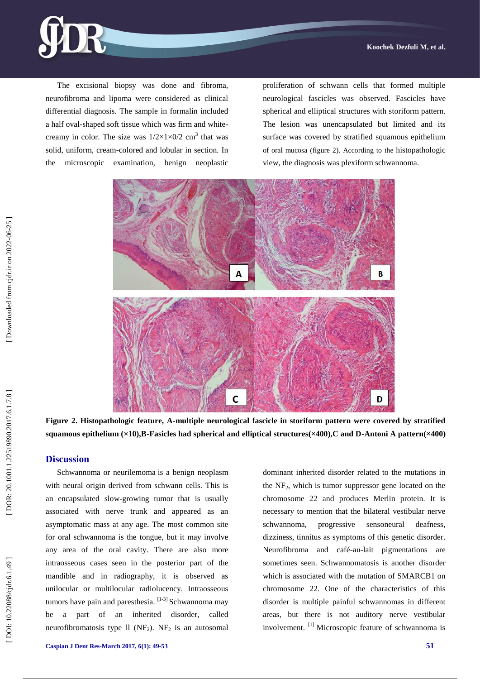

The excisional biopsy was done and fibroma, neurofibroma and lipoma were considered as clinical differential diagnosis. The sample in formalin included a half oval -shaped soft tissue which was firm and white creamy in color. The size was  $1/2 \times 1 \times 0/2$  cm<sup>3</sup> that was solid, uniform, cream -colored and lobular in section. In the microscopic examination, benign neoplastic

proliferation of schwann cells that formed multiple neurological fascicles was observed. Fascicle s have spherical and elliptical structures with storiform pattern. The lesion was unencapsulated but limited and its surface was covered by stratified squamous epithelium of oral mucosa (figure 2). According to the histopathologic view, the diagnosis was plexiform schwannoma.



**Figure 2 . Histopathologic feature, A -multiple neurological fascicle in storiform pattern were covered by stratified squamous epithelium (×10),B -Fasicles had spherical and elliptical structures(×400),C and D -Antoni A pattern(×400)**

### **Discussion**

Schwannoma or neurilemoma is a benign neoplasm with neural origin derived from schwann cells. This is an encapsulated slow -growing tumor that is usually associated with nerve trunk and appeared as an asymptomatic mass at any age. The most common site for oral schwannoma is the tongue, but it may involve any area of the oral cavity. There are also more intraosseous cases seen in the posterior part of the mandible and in radiography, it is observed as unilocular or multilocular radiolucency. Intraosseous tumors have pain and paresthesia. [1-3] Schwannoma may be a part of an inherited disorder, called neurofibromatosis type  $ll$  (NF<sub>2</sub>). NF<sub>2</sub> is an autosomal dominant inherited disorder related to the mutations in the NF <sup>2</sup>, which is tumor suppressor gene located on the chromosome 22 and produces Merlin protein. It is necessary to mention that the bilateral vestibular nerve schwannoma, progressive sensoneural deafness, dizziness, tinnitus as symptoms of this genetic disorder. Neurofibroma and café -au -lait pigmentations are sometimes seen. Schwannomatosis is another disorder which is associated with the mutation of SMARCB1 on chromosome 22. One of the characteristics of this disorder is multiple painful schwannomas in different areas, but there is not auditory nerve vestibular involvement. [1] Microscopic feature of schwannoma is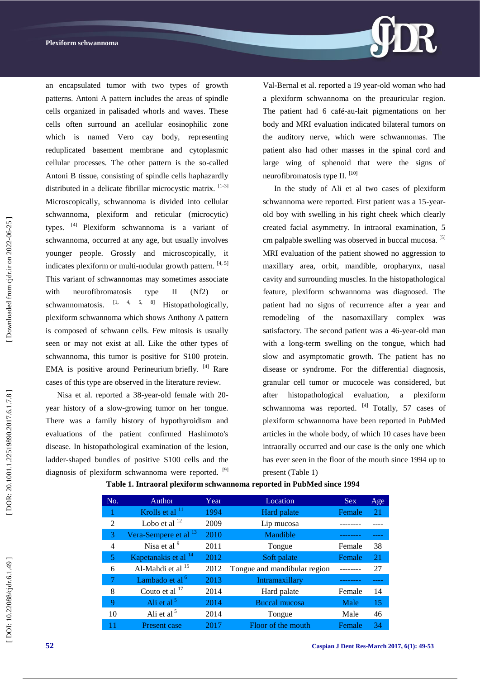

an encapsulated tumor with two types of growth patterns. Antoni A pattern includes the areas of spindle cells organized in palisaded whorls and waves. These cells often surround an acellular eosinophilic zone which is named Vero cay body, representing reduplicated basement membrane and cytoplasmic cellular processes. The other pattern is the so -called Antoni B tissue, consisting of spindle cells haphazardly distributed in a delicate fibrillar microcystic matrix. [1-3] Microscopically, schwannoma is divided into cellular schwannoma, plexiform and reticular (microcytic) types. [4] Plexiform schwannoma is a variant of schwannoma, occurred at any age, but usually involves younger people. Grossly and microscopically, it indicates plexiform or multi-nodular growth pattern. [4, 5] This variant of schwannomas may sometimes associate with neurofibromatosis type II (Nf2) or schwannomatosis.  $\begin{bmatrix} 1, & 4, & 5, & 8 \end{bmatrix}$  Histopathologically, plexiform schwannoma which shows Anthony A pattern is composed of schwann cells. Few mitosis is usually seen or may not exist at all. Like the other types of schwannoma, this tumor is positive for S100 protein. EMA is positive around Perineurium briefly. [4] Rare cases of this type are observed in the literature review.

Nisa et al. reported a 38 -year -old female with 20 year history of a slow -growing tumor on her tongue. There was a family history of hypothyroidism and evaluations of the patient confirmed Hashimoto's disease. In histopathological examination of the lesion, ladder -shaped bundles of positive S100 cells and the diagnosis of plexiform schwannoma were reported. <sup>[9]</sup>

Val -Bernal et al. reported a 19 year -old woman who had a plexiform schwannoma on the preauricular region. The patient had 6 café -au -lait pigmentations on her body and MRI evaluation indicated bilateral tumors on the auditory nerve, which were schwannomas. The patient also had other masses in the spinal cord and large wing of sphenoid that were the signs of neurofibromatosis type II. [10]

In the study of Ali et al two cases of plexiform schwannoma were reported. First patient was a 15-yearold boy with swelling in his right cheek which clearly created facial asymmetry. In intraoral examination, 5 cm palpable swelling was observed in buccal mucosa. [5] MRI evaluation of the patient showed no aggression to maxillary area, orbit, mandible, oropharynx, nasal cavity and surrounding muscles. In the histopathological feature, plexiform schwannoma was diagnosed. The patient had no signs of recurrence after a year and remodeling of the nasomaxillary complex was satisfactory. The second patient was a 46-year-old man with a long -term swelling on the tongue, which had slow and asymptomatic growth. The patient has no disease or syndrome. For the differential diagnosis, granular cell tumor or mucocele was considered, but after histopathological evaluation, a plexiform schwannoma was reported. <sup>[4]</sup> Totally, 57 cases of plexiform schwannoma have been reported in PubMed articles in the whole body, of which 10 cases have been intraorally occurred and our case is the only one which has ever seen in the floor of the mouth since 1994 up to present (Table 1)

| No.            | Author                           | Year | Location                     | <b>Sex</b> | Age |
|----------------|----------------------------------|------|------------------------------|------------|-----|
|                | Krolls et al $^{11}$             | 1994 | Hard palate                  | Female     | 21  |
| $\overline{2}$ | Lobo et al $^{12}$               | 2009 | Lip mucosa                   |            |     |
| 3              | Vera-Sempere et al <sup>13</sup> | 2010 | Mandible                     |            |     |
| 4              | Nisa et al <sup>9</sup>          | 2011 | Tongue                       | Female     | 38  |
| 5              | Kapetanakis et al <sup>14</sup>  | 2012 | Soft palate                  | Female     | 21  |
| 6              | Al-Mahdi et al <sup>15</sup>     | 2012 | Tongue and mandibular region |            | 27  |
| 7              | Lambado et al <sup>6</sup>       | 2013 | Intramaxillary               |            |     |
| 8              | Couto et al $^{17}$              | 2014 | Hard palate                  | Female     | 14  |
| 9              | Ali et al <sup>5</sup>           | 2014 | <b>Buccal mucosa</b>         | Male       | 15  |
| 10             | Ali et al $5$                    | 2014 | Tongue                       | Male       | 46  |
|                | Present case                     | 2017 | Floor of the mouth           | Female     | 34  |

### **Table 1. Intraoral plexiform schwannoma reported in PubMed since 1994**